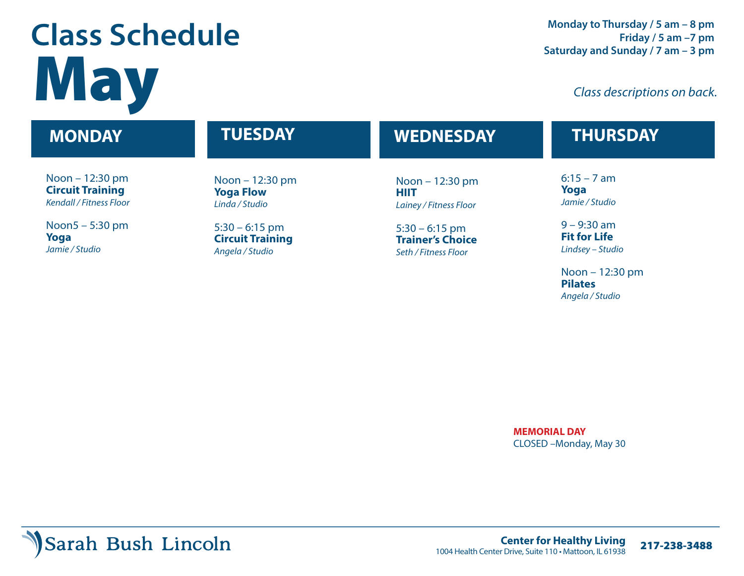# **Class Schedule Class descriptions on back.**

#### Noon – 12:30 pm **Circuit Training** *Kendall / Fitness Floor* Noon5 – 5:30 pm **Yoga** *Jamie / Studio* Noon – 12:30 pm **Yoga Flow** *Linda / Studio* 5:30 – 6:15 pm **Circuit Training** *Angela / Studio* Noon – 12:30 pm **HIIT** *Lainey / Fitness Floor* 5:30 – 6:15 pm **Trainer's Choice** *Seth / Fitness Floor*  $6:15 - 7$  am **Yoga** *Jamie / Studio*   $9 - 9:30$  am **Fit for Life** *Lindsey – Studio* **MONDAY TUESDAY WEDNESDAY THURSDAY**

Noon – 12:30 pm **Pilates** *Angela / Studio*

**MEMORIAL DAY** CLOSED –Monday, May 30